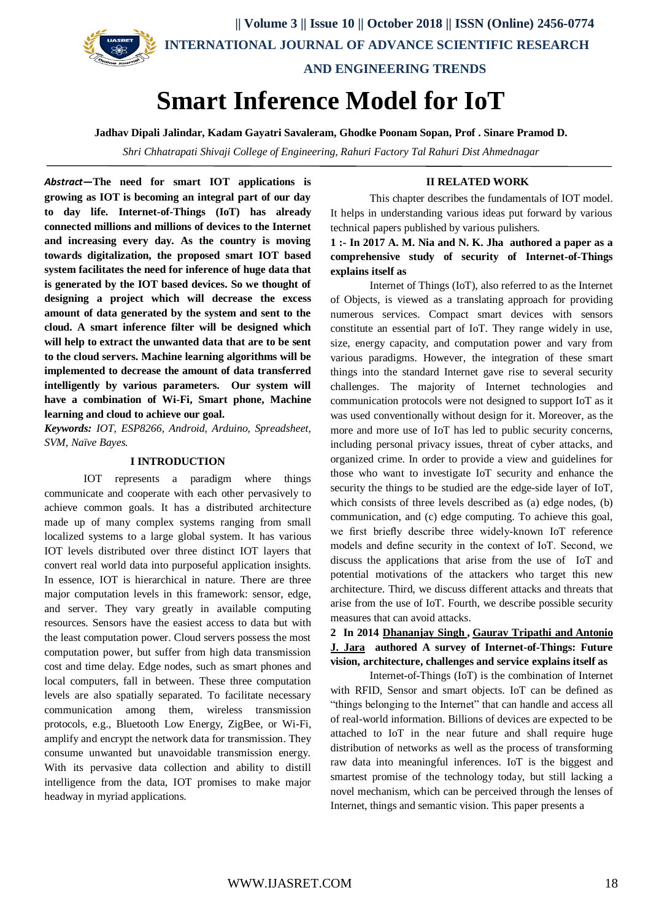

# **Smart Inference Model for IoT**

**Jadhav Dipali Jalindar, Kadam Gayatri Savaleram, Ghodke Poonam Sopan, Prof . Sinare Pramod D.**

*Shri Chhatrapati Shivaji College of Engineering, Rahuri Factory Tal Rahuri Dist Ahmednagar*

*Abstract***—The need for smart IOT applications is growing as IOT is becoming an integral part of our day to day life. Internet-of-Things (IoT) has already connected millions and millions of devices to the Internet and increasing every day. As the country is moving towards digitalization, the proposed smart IOT based system facilitates the need for inference of huge data that is generated by the IOT based devices. So we thought of designing a project which will decrease the excess amount of data generated by the system and sent to the cloud. A smart inference filter will be designed which will help to extract the unwanted data that are to be sent to the cloud servers. Machine learning algorithms will be implemented to decrease the amount of data transferred intelligently by various parameters. Our system will have a combination of Wi-Fi, Smart phone, Machine learning and cloud to achieve our goal.**

*Keywords: IOT, ESP8266, Android, Arduino, Spreadsheet, SVM, Naïve Bayes.*

#### **I INTRODUCTION**

IOT represents a paradigm where things communicate and cooperate with each other pervasively to achieve common goals. It has a distributed architecture made up of many complex systems ranging from small localized systems to a large global system. It has various IOT levels distributed over three distinct IOT layers that convert real world data into purposeful application insights. In essence, IOT is hierarchical in nature. There are three major computation levels in this framework: sensor, edge, and server. They vary greatly in available computing resources. Sensors have the easiest access to data but with the least computation power. Cloud servers possess the most computation power, but suffer from high data transmission cost and time delay. Edge nodes, such as smart phones and local computers, fall in between. These three computation levels are also spatially separated. To facilitate necessary communication among them, wireless transmission protocols, e.g., Bluetooth Low Energy, ZigBee, or Wi-Fi, amplify and encrypt the network data for transmission. They consume unwanted but unavoidable transmission energy. With its pervasive data collection and ability to distill intelligence from the data, IOT promises to make major headway in myriad applications.

#### **II RELATED WORK**

This chapter describes the fundamentals of IOT model. It helps in understanding various ideas put forward by various technical papers published by various pulishers.

# **1 :- In 2017 A. M. Nia and N. K. Jha authored a paper as a comprehensive study of security of Internet-of-Things explains itself as**

Internet of Things (IoT), also referred to as the Internet of Objects, is viewed as a translating approach for providing numerous services. Compact smart devices with sensors constitute an essential part of IoT. They range widely in use, size, energy capacity, and computation power and vary from various paradigms. However, the integration of these smart things into the standard Internet gave rise to several security challenges. The majority of Internet technologies and communication protocols were not designed to support IoT as it was used conventionally without design for it. Moreover, as the more and more use of IoT has led to public security concerns, including personal privacy issues, threat of cyber attacks, and organized crime. In order to provide a view and guidelines for those who want to investigate IoT security and enhance the security the things to be studied are the edge-side layer of IoT, which consists of three levels described as (a) edge nodes, (b) communication, and (c) edge computing. To achieve this goal, we first briefly describe three widely-known IoT reference models and define security in the context of IoT. Second, we discuss the applications that arise from the use of IoT and potential motivations of the attackers who target this new architecture. Third, we discuss different attacks and threats that arise from the use of IoT. Fourth, we describe possible security measures that can avoid attacks.

## **2 In 2014 [Dhananjay Singh](https://ieeexplore.ieee.org/search/searchresult.jsp?searchWithin=%22First%20Name%22:%22Dhananjay%22&searchWithin=%22Last%20Name%22:%22Singh%22&newsearch=true) , [Gaurav Tripathi](https://ieeexplore.ieee.org/search/searchresult.jsp?searchWithin=%22First%20Name%22:%22Gaurav%22&searchWithin=%22Last%20Name%22:%22Tripathi%22&newsearch=true) and [Antonio](https://ieeexplore.ieee.org/search/searchresult.jsp?searchWithin=%22First%20Name%22:%22Gaurav%22&searchWithin=%22Last%20Name%22:%22Tripathi%22&newsearch=true)  J. Jara authored A survey of Internet-of-Things: Future vision, architecture, challenges and service explains itself as**

Internet-of-Things (IoT) is the combination of Internet with RFID, Sensor and smart objects. IoT can be defined as "things belonging to the Internet" that can handle and access all of real-world information. Billions of devices are expected to be attached to IoT in the near future and shall require huge distribution of networks as well as the process of transforming raw data into meaningful inferences. IoT is the biggest and smartest promise of the technology today, but still lacking a novel mechanism, which can be perceived through the lenses of Internet, things and semantic vision. This paper presents a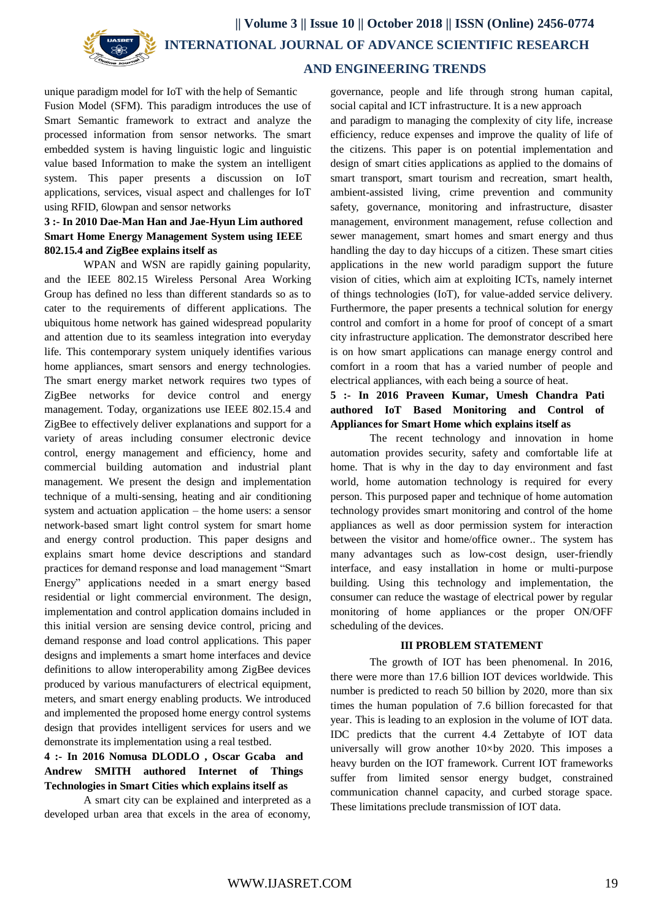

 **|| Volume 3 || Issue 10 || October 2018 || ISSN (Online) 2456-0774 INTERNATIONAL JOURNAL OF ADVANCE SCIENTIFIC RESEARCH** 

#### **AND ENGINEERING TRENDS**

unique paradigm model for IoT with the help of Semantic Fusion Model (SFM). This paradigm introduces the use of Smart Semantic framework to extract and analyze the processed information from sensor networks. The smart embedded system is having linguistic logic and linguistic value based Information to make the system an intelligent system. This paper presents a discussion on IoT applications, services, visual aspect and challenges for IoT using RFID, 6lowpan and sensor networks

# **3 :- In 2010 Dae-Man Han and Jae-Hyun Lim authored Smart Home Energy Management System using IEEE 802.15.4 and ZigBee explains itself as**

WPAN and WSN are rapidly gaining popularity, and the IEEE 802.15 Wireless Personal Area Working Group has defined no less than different standards so as to cater to the requirements of different applications. The ubiquitous home network has gained widespread popularity and attention due to its seamless integration into everyday life. This contemporary system uniquely identifies various home appliances, smart sensors and energy technologies. The smart energy market network requires two types of ZigBee networks for device control and energy management. Today, organizations use IEEE 802.15.4 and ZigBee to effectively deliver explanations and support for a variety of areas including consumer electronic device control, energy management and efficiency, home and commercial building automation and industrial plant management. We present the design and implementation technique of a multi-sensing, heating and air conditioning system and actuation application – the home users: a sensor network-based smart light control system for smart home and energy control production. This paper designs and explains smart home device descriptions and standard practices for demand response and load management "Smart Energy" applications needed in a smart energy based residential or light commercial environment. The design, implementation and control application domains included in this initial version are sensing device control, pricing and demand response and load control applications. This paper designs and implements a smart home interfaces and device definitions to allow interoperability among ZigBee devices produced by various manufacturers of electrical equipment, meters, and smart energy enabling products. We introduced and implemented the proposed home energy control systems design that provides intelligent services for users and we demonstrate its implementation using a real testbed.

# **4 :- In 2016 Nomusa DLODLO , Oscar Gcaba and Andrew SMITH authored Internet of Things Technologies in Smart Cities which explains itself as**

A smart city can be explained and interpreted as a developed urban area that excels in the area of economy, governance, people and life through strong human capital, social capital and ICT infrastructure. It is a new approach

and paradigm to managing the complexity of city life, increase efficiency, reduce expenses and improve the quality of life of the citizens. This paper is on potential implementation and design of smart cities applications as applied to the domains of smart transport, smart tourism and recreation, smart health, ambient-assisted living, crime prevention and community safety, governance, monitoring and infrastructure, disaster management, environment management, refuse collection and sewer management, smart homes and smart energy and thus handling the day to day hiccups of a citizen. These smart cities applications in the new world paradigm support the future vision of cities, which aim at exploiting ICTs, namely internet of things technologies (IoT), for value-added service delivery. Furthermore, the paper presents a technical solution for energy control and comfort in a home for proof of concept of a smart city infrastructure application. The demonstrator described here is on how smart applications can manage energy control and comfort in a room that has a varied number of people and electrical appliances, with each being a source of heat.

### **5 :- In 2016 Praveen Kumar, Umesh Chandra Pati authored IoT Based Monitoring and Control of Appliances for Smart Home which explains itself as**

The recent technology and innovation in home automation provides security, safety and comfortable life at home. That is why in the day to day environment and fast world, home automation technology is required for every person. This purposed paper and technique of home automation technology provides smart monitoring and control of the home appliances as well as door permission system for interaction between the visitor and home/office owner.. The system has many advantages such as low-cost design, user-friendly interface, and easy installation in home or multi-purpose building. Using this technology and implementation, the consumer can reduce the wastage of electrical power by regular monitoring of home appliances or the proper ON/OFF scheduling of the devices.

#### **III PROBLEM STATEMENT**

The growth of IOT has been phenomenal. In 2016, there were more than 17.6 billion IOT devices worldwide. This number is predicted to reach 50 billion by 2020, more than six times the human population of 7.6 billion forecasted for that year. This is leading to an explosion in the volume of IOT data. IDC predicts that the current 4.4 Zettabyte of IOT data universally will grow another  $10 \times by 2020$ . This imposes a heavy burden on the IOT framework. Current IOT frameworks suffer from limited sensor energy budget, constrained communication channel capacity, and curbed storage space. These limitations preclude transmission of IOT data.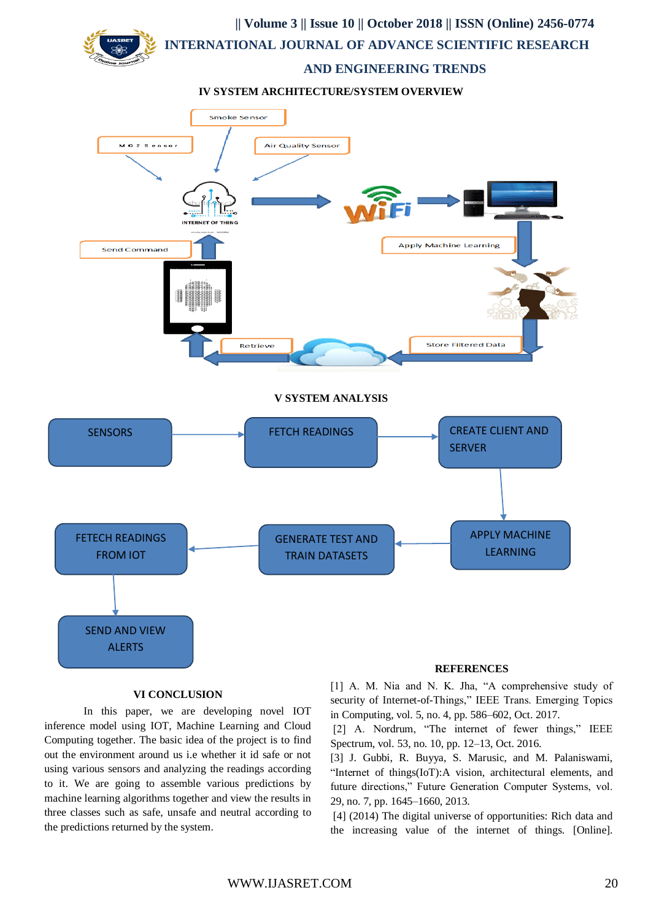

**IV SYSTEM ARCHITECTURE/SYSTEM OVERVIEW**



#### **VI CONCLUSION**

In this paper, we are developing novel IOT inference model using IOT, Machine Learning and Cloud Computing together. The basic idea of the project is to find out the environment around us i.e whether it id safe or not using various sensors and analyzing the readings according to it. We are going to assemble various predictions by machine learning algorithms together and view the results in three classes such as safe, unsafe and neutral according to the predictions returned by the system.

[1] A. M. Nia and N. K. Jha, "A comprehensive study of security of Internet-of-Things," IEEE Trans. Emerging Topics in Computing, vol. 5, no. 4, pp. 586–602, Oct. 2017.

[2] A. Nordrum, "The internet of fewer things," IEEE Spectrum, vol. 53, no. 10, pp. 12–13, Oct. 2016.

[3] J. Gubbi, R. Buyya, S. Marusic, and M. Palaniswami, "Internet of things(IoT):A vision, architectural elements, and future directions," Future Generation Computer Systems, vol. 29, no. 7, pp. 1645–1660, 2013.

[4] (2014) The digital universe of opportunities: Rich data and the increasing value of the internet of things. [Online].